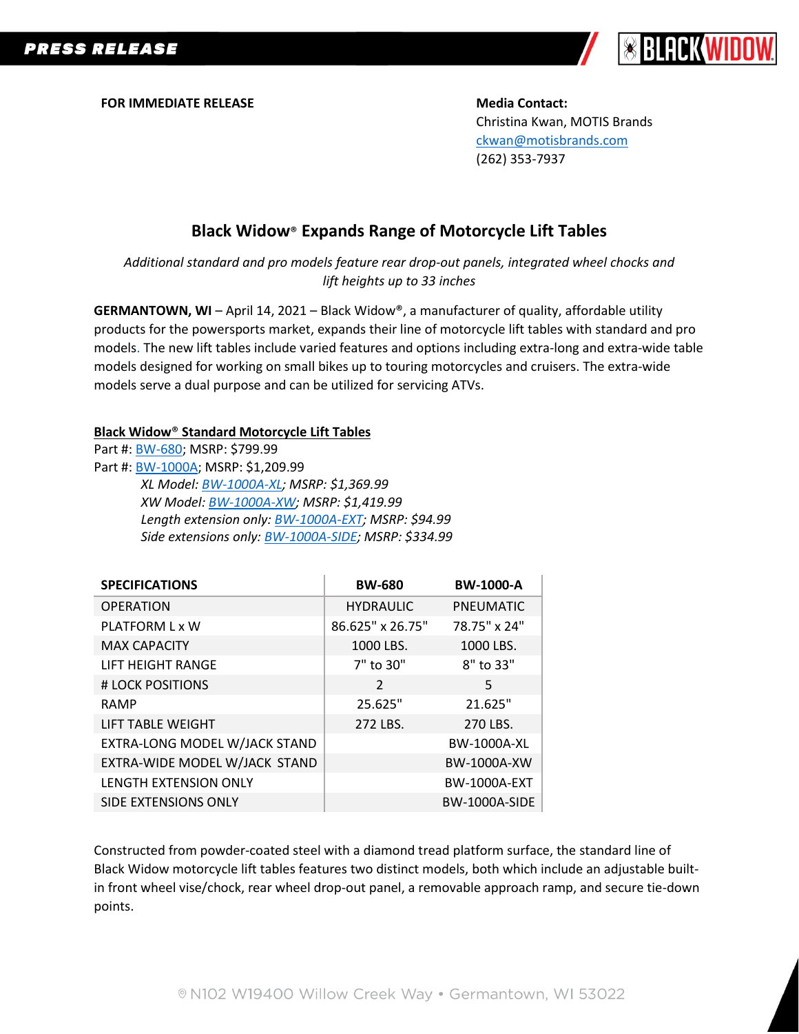

**FOR IMMEDIATE RELEASE Media Contact:** 

Christina Kwan, MOTIS Brands [ckwan@motisbrands.com](mailto:ckwan@motisbrands.com) (262) 353-7937

## **Black Widow**® **Expands Range of Motorcycle Lift Tables**

*Additional standard and pro models feature rear drop-out panels, integrated wheel chocks and lift heights up to 33 inches*

**GERMANTOWN, WI** – April 14, 2021 – Black Widow®, a manufacturer of quality, affordable utility products for the powersports market, expands their line of motorcycle lift tables with standard and pro models. The new lift tables include varied features and options including extra-long and extra-wide table models designed for working on small bikes up to touring motorcycles and cruisers. The extra-wide models serve a dual purpose and can be utilized for servicing ATVs.

## **Black Widow**® **Standard Motorcycle Lift Tables**

Part #: [BW-680;](https://www.blackwidowpro.com/motorcycle/lifts/p/bw-680/) MSRP: \$799.99

Part #: [BW-1000A;](https://www.blackwidowpro.com/motorcycle/lifts/p/bw-1000a/) MSRP: \$1,209.99 *XL Model[: BW-1000A-XL;](https://www.blackwidowpro.com/motorcycle/lifts/p/bw-1000a-xl/) MSRP: \$1,369.99 XW Model: [BW-1000A-XW;](https://www.blackwidowpro.com/motorcycle/lifts/p/bw-1000a-xw/) MSRP: \$1,419.99 Length extension only[: BW-1000A-EXT;](https://www.blackwidowpro.com/motorcycle/lifts/p/bw-1000a-ext/) MSRP: \$94.99 Side extensions only[: BW-1000A-SIDE;](https://www.blackwidowpro.com/motorcycle/lifts/p/bw-1000a-side/) MSRP: \$334.99*

| <b>SPECIFICATIONS</b>         | <b>BW-680</b>    | <b>BW-1000-A</b>     |
|-------------------------------|------------------|----------------------|
| <b>OPERATION</b>              | <b>HYDRAULIC</b> | <b>PNEUMATIC</b>     |
| PLATFORM L x W                | 86.625" x 26.75" | 78.75" x 24"         |
| <b>MAX CAPACITY</b>           | 1000 LBS.        | 1000 LBS.            |
| LIFT HEIGHT RANGE             | 7" to 30"        | 8" to 33"            |
| # LOCK POSITIONS              | $\mathcal{P}$    | 5                    |
| <b>RAMP</b>                   | 25.625"          | 21.625"              |
| <b>LIFT TABLE WEIGHT</b>      | 272 LBS.         | 270 LBS.             |
| EXTRA-LONG MODEL W/JACK STAND |                  | <b>BW-1000A-XL</b>   |
| EXTRA-WIDE MODEL W/JACK STAND |                  | BW-1000A-XW          |
| <b>LENGTH EXTENSION ONLY</b>  |                  | <b>BW-1000A-EXT</b>  |
| SIDE EXTENSIONS ONLY          |                  | <b>BW-1000A-SIDE</b> |

Constructed from powder-coated steel with a diamond tread platform surface, the standard line of Black Widow motorcycle lift tables features two distinct models, both which include an adjustable builtin front wheel vise/chock, rear wheel drop-out panel, a removable approach ramp, and secure tie-down points.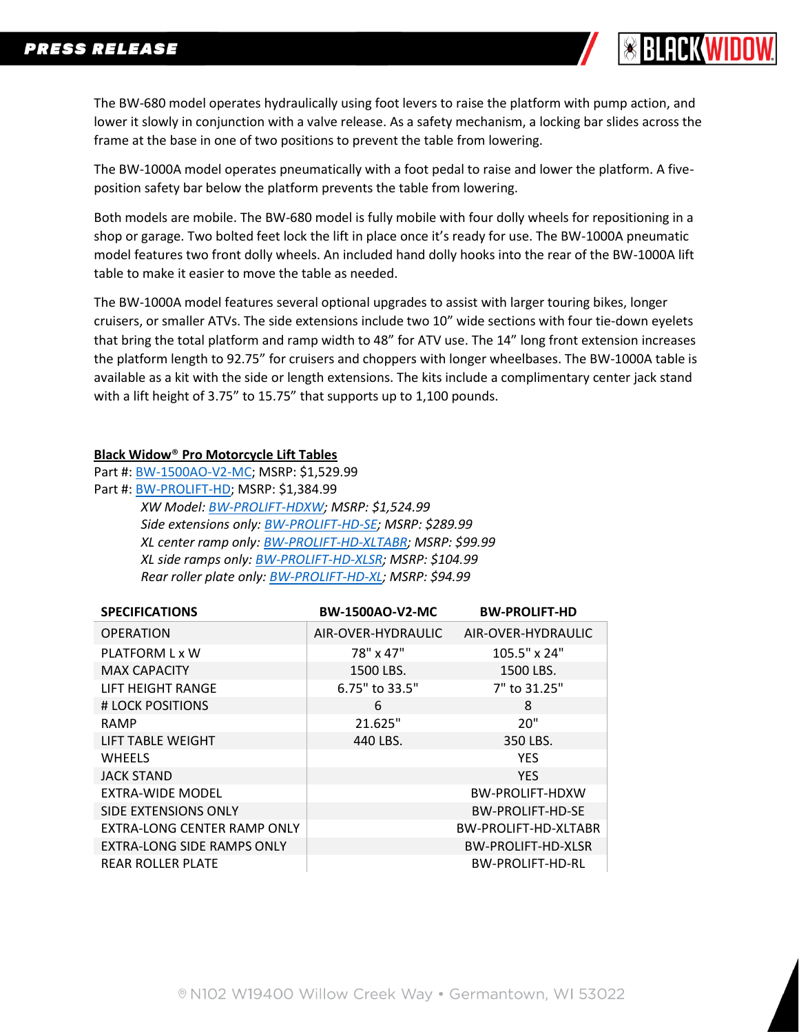

The BW-680 model operates hydraulically using foot levers to raise the platform with pump action, and lower it slowly in conjunction with a valve release. As a safety mechanism, a locking bar slides across the frame at the base in one of two positions to prevent the table from lowering.

The BW-1000A model operates pneumatically with a foot pedal to raise and lower the platform. A fiveposition safety bar below the platform prevents the table from lowering.

Both models are mobile. The BW-680 model is fully mobile with four dolly wheels for repositioning in a shop or garage. Two bolted feet lock the lift in place once it's ready for use. The BW-1000A pneumatic model features two front dolly wheels. An included hand dolly hooks into the rear of the BW-1000A lift table to make it easier to move the table as needed.

The BW-1000A model features several optional upgrades to assist with larger touring bikes, longer cruisers, or smaller ATVs. The side extensions include two 10" wide sections with four tie-down eyelets that bring the total platform and ramp width to 48" for ATV use. The 14" long front extension increases the platform length to 92.75" for cruisers and choppers with longer wheelbases. The BW-1000A table is available as a kit with the side or length extensions. The kits include a complimentary center jack stand with a lift height of 3.75" to 15.75" that supports up to 1,100 pounds.

## **Black Widow**® **Pro Motorcycle Lift Tables**

Part #: [BW-1500AO-V2-MC;](https://www.blackwidowpro.com/motorcycle/lifts/p/bw-1500ao-v2-mc/) MSRP: \$1,529.99 Part #: [BW-PROLIFT-HD;](https://www.blackwidowpro.com/motorcycle/lifts/p/bw-prolift-hd/) MSRP: \$1,384.99 *XW Model: [BW-PROLIFT-HDXW;](https://www.blackwidowpro.com/motorcycle/lifts/p/bw-prolift-hdxw/) MSRP: \$1,524.99 Side extensions only[: BW-PROLIFT-HD-SE;](https://www.blackwidowpro.com/motorcycle/lifts/p/bw-prolift-hd-se/) MSRP: \$289.99 XL center ramp only: [BW-PROLIFT-HD-XLTABR;](https://www.blackwidowpro.com/motorcycle/lifts/p/bw-prolift-hd-xltabr/) MSRP: \$99.99 XL side ramps only: [BW-PROLIFT-HD-XLSR;](https://www.blackwidowpro.com/motorcycle/lifts/p/bw-prolift-hd-xlsr/) MSRP: \$104.99 Rear roller plate only[: BW-PROLIFT-HD-XL;](https://www.blackwidowpro.com/motorcycle/lifts/p/bw-prolift-hd-rl/) MSRP: \$94.99*

| <b>SPECIFICATIONS</b>             | <b>BW-1500AO-V2-MC</b> | <b>BW-PROLIFT-HD</b>    |
|-----------------------------------|------------------------|-------------------------|
| <b>OPERATION</b>                  | AIR-OVER-HYDRAULIC     | AIR-OVER-HYDRAULIC      |
| PLATFORM L x W                    | 78" x 47"              | 105.5" x 24"            |
| <b>MAX CAPACITY</b>               | 1500 LBS.              | 1500 LBS.               |
| LIFT HEIGHT RANGE                 | 6.75" to 33.5"         | 7" to 31.25"            |
| # LOCK POSITIONS                  | 6                      | 8                       |
| <b>RAMP</b>                       | 21.625"                | 20"                     |
| <b>LIFT TABLE WEIGHT</b>          | 440 LBS.               | 350 LBS.                |
| <b>WHEELS</b>                     |                        | <b>YES</b>              |
| <b>JACK STAND</b>                 |                        | <b>YES</b>              |
| EXTRA-WIDE MODEL                  |                        | <b>BW-PROLIFT-HDXW</b>  |
| SIDE EXTENSIONS ONLY              |                        | <b>BW-PROLIFT-HD-SE</b> |
| EXTRA-LONG CENTER RAMP ONLY       |                        | BW-PROLIFT-HD-XLTABR    |
| <b>EXTRA-LONG SIDE RAMPS ONLY</b> |                        | BW-PROLIFT-HD-XLSR      |
| <b>REAR ROLLER PLATE</b>          |                        | <b>BW-PROLIFT-HD-RL</b> |